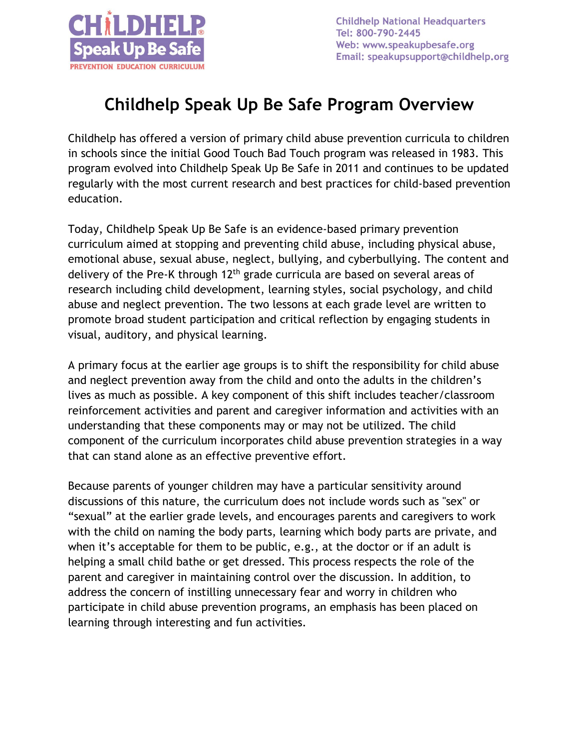

**Childhelp National Headquarters** Tel: 800-790-2445 Web: www.speakupbesafe.org Email: speakupsupport@childhelp.org

## **Childhelp Speak Up Be Safe Program Overview**

Childhelp has offered a version of primary child abuse prevention curricula to children in schools since the initial Good Touch Bad Touch program was released in 1983. This program evolved into Childhelp Speak Up Be Safe in 2011 and continues to be updated regularly with the most current research and best practices for child-based prevention education.

Today, Childhelp Speak Up Be Safe is an evidence-based primary prevention curriculum aimed at stopping and preventing child abuse, including physical abuse, emotional abuse, sexual abuse, neglect, bullying, and cyberbullying. The content and delivery of the Pre-K through 12<sup>th</sup> grade curricula are based on several areas of research including child development, learning styles, social psychology, and child abuse and neglect prevention. The two lessons at each grade level are written to promote broad student participation and critical reflection by engaging students in visual, auditory, and physical learning.

A primary focus at the earlier age groups is to shift the responsibility for child abuse and neglect prevention away from the child and onto the adults in the children's lives as much as possible. A key component of this shift includes teacher/classroom reinforcement activities and parent and caregiver information and activities with an understanding that these components may or may not be utilized. The child component of the curriculum incorporates child abuse prevention strategies in a way that can stand alone as an effective preventive effort.

Because parents of younger children may have a particular sensitivity around discussions of this nature, the curriculum does not include words such as "sex" or "sexual" at the earlier grade levels, and encourages parents and caregivers to work with the child on naming the body parts, learning which body parts are private, and when it's acceptable for them to be public, e.g., at the doctor or if an adult is helping a small child bathe or get dressed. This process respects the role of the parent and caregiver in maintaining control over the discussion. In addition, to address the concern of instilling unnecessary fear and worry in children who participate in child abuse prevention programs, an emphasis has been placed on learning through interesting and fun activities.